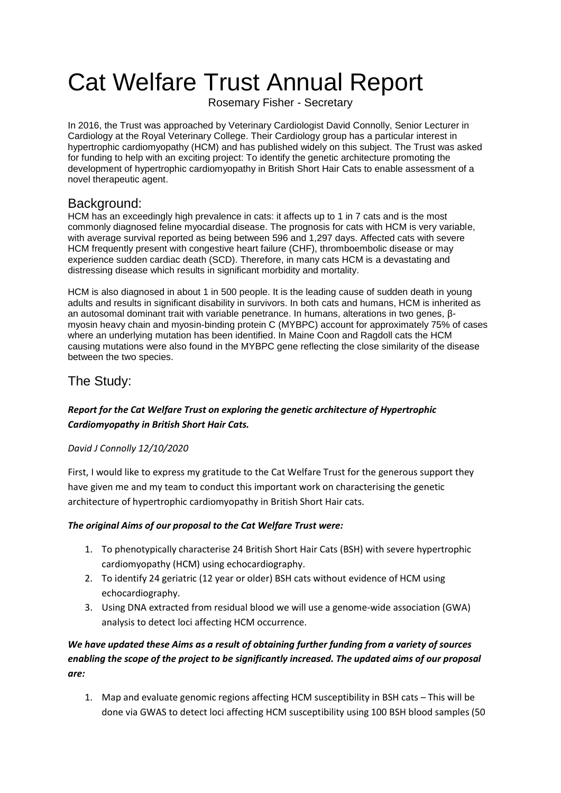# Cat Welfare Trust Annual Report

Rosemary Fisher - Secretary

In 2016, the Trust was approached by Veterinary Cardiologist David Connolly, Senior Lecturer in Cardiology at the Royal Veterinary College. Their Cardiology group has a particular interest in hypertrophic cardiomyopathy (HCM) and has published widely on this subject. The Trust was asked for funding to help with an exciting project: To identify the genetic architecture promoting the development of hypertrophic cardiomyopathy in British Short Hair Cats to enable assessment of a novel therapeutic agent.

## Background:

HCM has an exceedingly high prevalence in cats: it affects up to 1 in 7 cats and is the most commonly diagnosed feline myocardial disease. The prognosis for cats with HCM is very variable, with average survival reported as being between 596 and 1,297 days. Affected cats with severe HCM frequently present with congestive heart failure (CHF), thromboembolic disease or may experience sudden cardiac death (SCD). Therefore, in many cats HCM is a devastating and distressing disease which results in significant morbidity and mortality.

HCM is also diagnosed in about 1 in 500 people. It is the leading cause of sudden death in young adults and results in significant disability in survivors. In both cats and humans, HCM is inherited as an autosomal dominant trait with variable penetrance. In humans, alterations in two genes, βmyosin heavy chain and myosin-binding protein C (MYBPC) account for approximately 75% of cases where an underlying mutation has been identified. In Maine Coon and Ragdoll cats the HCM causing mutations were also found in the MYBPC gene reflecting the close similarity of the disease between the two species.

# The Study:

## *Report for the Cat Welfare Trust on exploring the genetic architecture of Hypertrophic Cardiomyopathy in British Short Hair Cats.*

## *David J Connolly 12/10/2020*

First, I would like to express my gratitude to the Cat Welfare Trust for the generous support they have given me and my team to conduct this important work on characterising the genetic architecture of hypertrophic cardiomyopathy in British Short Hair cats.

## *The original Aims of our proposal to the Cat Welfare Trust were:*

- 1. To phenotypically characterise 24 British Short Hair Cats (BSH) with severe hypertrophic cardiomyopathy (HCM) using echocardiography.
- 2. To identify 24 geriatric (12 year or older) BSH cats without evidence of HCM using echocardiography.
- 3. Using DNA extracted from residual blood we will use a genome-wide association (GWA) analysis to detect loci affecting HCM occurrence.

## *We have updated these Aims as a result of obtaining further funding from a variety of sources enabling the scope of the project to be significantly increased. The updated aims of our proposal are:*

1. Map and evaluate genomic regions affecting HCM susceptibility in BSH cats – This will be done via GWAS to detect loci affecting HCM susceptibility using 100 BSH blood samples (50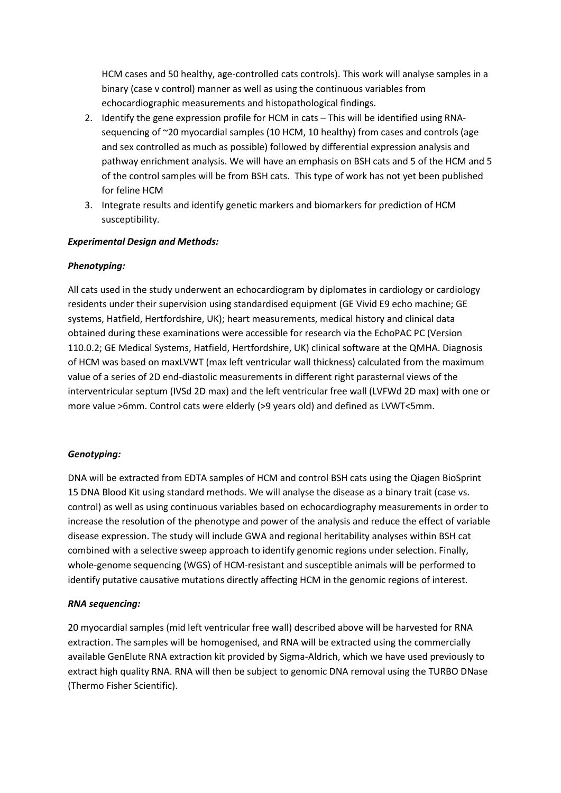HCM cases and 50 healthy, age-controlled cats controls). This work will analyse samples in a binary (case v control) manner as well as using the continuous variables from echocardiographic measurements and histopathological findings.

- 2. Identify the gene expression profile for HCM in cats This will be identified using RNAsequencing of ~20 myocardial samples (10 HCM, 10 healthy) from cases and controls (age and sex controlled as much as possible) followed by differential expression analysis and pathway enrichment analysis. We will have an emphasis on BSH cats and 5 of the HCM and 5 of the control samples will be from BSH cats. This type of work has not yet been published for feline HCM
- 3. Integrate results and identify genetic markers and biomarkers for prediction of HCM susceptibility.

#### *Experimental Design and Methods:*

#### *Phenotyping:*

All cats used in the study underwent an echocardiogram by diplomates in cardiology or cardiology residents under their supervision using standardised equipment (GE Vivid E9 echo machine; GE systems, Hatfield, Hertfordshire, UK); heart measurements, medical history and clinical data obtained during these examinations were accessible for research via the EchoPAC PC (Version 110.0.2; GE Medical Systems, Hatfield, Hertfordshire, UK) clinical software at the QMHA. Diagnosis of HCM was based on maxLVWT (max left ventricular wall thickness) calculated from the maximum value of a series of 2D end-diastolic measurements in different right parasternal views of the interventricular septum (IVSd 2D max) and the left ventricular free wall (LVFWd 2D max) with one or more value >6mm. Control cats were elderly (>9 years old) and defined as LVWT<5mm.

#### *Genotyping:*

DNA will be extracted from EDTA samples of HCM and control BSH cats using the Qiagen BioSprint 15 DNA Blood Kit using standard methods. We will analyse the disease as a binary trait (case vs. control) as well as using continuous variables based on echocardiography measurements in order to increase the resolution of the phenotype and power of the analysis and reduce the effect of variable disease expression. The study will include GWA and regional heritability analyses within BSH cat combined with a selective sweep approach to identify genomic regions under selection. Finally, whole-genome sequencing (WGS) of HCM-resistant and susceptible animals will be performed to identify putative causative mutations directly affecting HCM in the genomic regions of interest.

#### *RNA sequencing:*

20 myocardial samples (mid left ventricular free wall) described above will be harvested for RNA extraction. The samples will be homogenised, and RNA will be extracted using the commercially available GenElute RNA extraction kit provided by Sigma-Aldrich, which we have used previously to extract high quality RNA. RNA will then be subject to genomic DNA removal using the TURBO DNase (Thermo Fisher Scientific).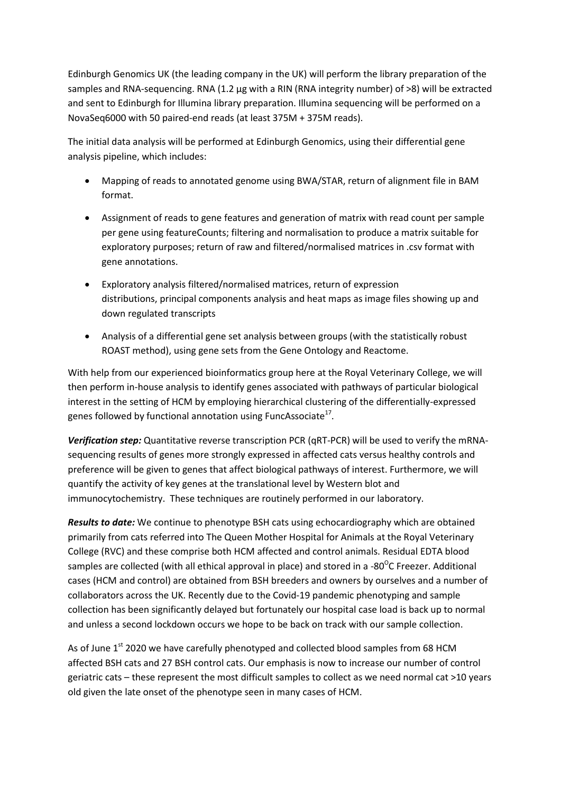Edinburgh Genomics UK (the leading company in the UK) will perform the library preparation of the samples and RNA-sequencing. RNA (1.2 µg with a RIN (RNA integrity number) of >8) will be extracted and sent to Edinburgh for Illumina library preparation. Illumina sequencing will be performed on a NovaSeq6000 with 50 paired-end reads (at least 375M + 375M reads).

The initial data analysis will be performed at Edinburgh Genomics, using their differential gene analysis pipeline, which includes:

- Mapping of reads to annotated genome using BWA/STAR, return of alignment file in BAM format.
- Assignment of reads to gene features and generation of matrix with read count per sample per gene using featureCounts; filtering and normalisation to produce a matrix suitable for exploratory purposes; return of raw and filtered/normalised matrices in .csv format with gene annotations.
- Exploratory analysis filtered/normalised matrices, return of expression distributions, principal components analysis and heat maps as image files showing up and down regulated transcripts
- Analysis of a differential gene set analysis between groups (with the statistically robust ROAST method), using gene sets from the Gene Ontology and Reactome.

With help from our experienced bioinformatics group here at the Royal Veterinary College, we will then perform in-house analysis to identify genes associated with pathways of particular biological interest in the setting of HCM by employing hierarchical clustering of the differentially-expressed genes followed by functional annotation using FuncAssociate $^{17}$ .

*Verification step:* Quantitative reverse transcription PCR (qRT-PCR) will be used to verify the mRNAsequencing results of genes more strongly expressed in affected cats versus healthy controls and preference will be given to genes that affect biological pathways of interest. Furthermore, we will quantify the activity of key genes at the translational level by Western blot and immunocytochemistry. These techniques are routinely performed in our laboratory.

*Results to date:* We continue to phenotype BSH cats using echocardiography which are obtained primarily from cats referred into The Queen Mother Hospital for Animals at the Royal Veterinary College (RVC) and these comprise both HCM affected and control animals. Residual EDTA blood samples are collected (with all ethical approval in place) and stored in a -80<sup>o</sup>C Freezer. Additional cases (HCM and control) are obtained from BSH breeders and owners by ourselves and a number of collaborators across the UK. Recently due to the Covid-19 pandemic phenotyping and sample collection has been significantly delayed but fortunately our hospital case load is back up to normal and unless a second lockdown occurs we hope to be back on track with our sample collection.

As of June 1<sup>st</sup> 2020 we have carefully phenotyped and collected blood samples from 68 HCM affected BSH cats and 27 BSH control cats. Our emphasis is now to increase our number of control geriatric cats – these represent the most difficult samples to collect as we need normal cat >10 years old given the late onset of the phenotype seen in many cases of HCM.